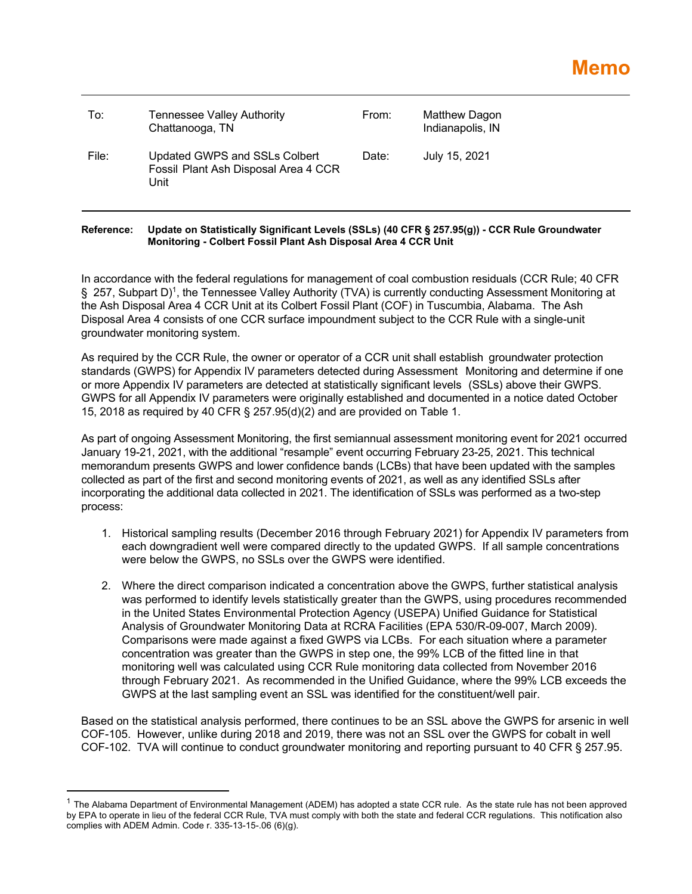| To:   | <b>Tennessee Valley Authority</b><br>Chattanooga, TN                          | From: | Matthew Dagon<br>Indianapolis, IN |
|-------|-------------------------------------------------------------------------------|-------|-----------------------------------|
| File: | Updated GWPS and SSLs Colbert<br>Fossil Plant Ash Disposal Area 4 CCR<br>Unit | Date: | July 15, 2021                     |

## **Reference: Update on Statistically Significant Levels (SSLs) (40 CFR § 257.95(g)) - CCR Rule Groundwater Monitoring - Colbert Fossil Plant Ash Disposal Area 4 CCR Unit**

In accordance with the federal regulations for management of coal combustion residuals (CCR Rule; 40 CFR § 257, Subpart D)<sup>1</sup>, the Tennessee Valley Authority (TVA) is currently conducting Assessment Monitoring at the Ash Disposal Area 4 CCR Unit at its Colbert Fossil Plant (COF) in Tuscumbia, Alabama. The Ash Disposal Area 4 consists of one CCR surface impoundment subject to the CCR Rule with a single-unit groundwater monitoring system.

As required by the CCR Rule, the owner or operator of a CCR unit shall establish groundwater protection standards (GWPS) for Appendix IV parameters detected during Assessment Monitoring and determine if one or more Appendix IV parameters are detected at statistically significant levels (SSLs) above their GWPS. GWPS for all Appendix IV parameters were originally established and documented in a notice dated October 15, 2018 as required by 40 CFR § 257.95(d)(2) and are provided on Table 1.

As part of ongoing Assessment Monitoring, the first semiannual assessment monitoring event for 2021 occurred January 19-21, 2021, with the additional "resample" event occurring February 23-25, 2021. This technical memorandum presents GWPS and lower confidence bands (LCBs) that have been updated with the samples collected as part of the first and second monitoring events of 2021, as well as any identified SSLs after incorporating the additional data collected in 2021. The identification of SSLs was performed as a two-step process:

- 1. Historical sampling results (December 2016 through February 2021) for Appendix IV parameters from each downgradient well were compared directly to the updated GWPS. If all sample concentrations were below the GWPS, no SSLs over the GWPS were identified.
- 2. Where the direct comparison indicated a concentration above the GWPS, further statistical analysis was performed to identify levels statistically greater than the GWPS, using procedures recommended in the United States Environmental Protection Agency (USEPA) Unified Guidance for Statistical Analysis of Groundwater Monitoring Data at RCRA Facilities (EPA 530/R-09-007, March 2009). Comparisons were made against a fixed GWPS via LCBs. For each situation where a parameter concentration was greater than the GWPS in step one, the 99% LCB of the fitted line in that monitoring well was calculated using CCR Rule monitoring data collected from November 2016 through February 2021. As recommended in the Unified Guidance, where the 99% LCB exceeds the GWPS at the last sampling event an SSL was identified for the constituent/well pair.

Based on the statistical analysis performed, there continues to be an SSL above the GWPS for arsenic in well COF-105. However, unlike during 2018 and 2019, there was not an SSL over the GWPS for cobalt in well COF-102. TVA will continue to conduct groundwater monitoring and reporting pursuant to 40 CFR § 257.95.

 $1$  The Alabama Department of Environmental Management (ADEM) has adopted a state CCR rule. As the state rule has not been approved by EPA to operate in lieu of the federal CCR Rule, TVA must comply with both the state and federal CCR regulations. This notification also complies with ADEM Admin. Code r. 335-13-15-.06 (6)(g).